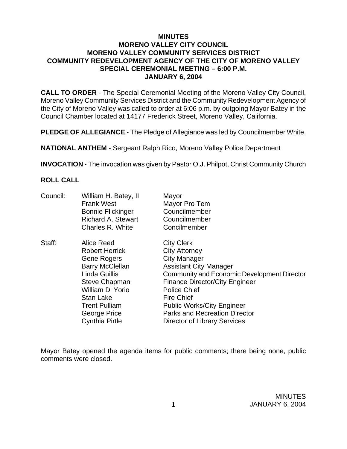## **MINUTES MORENO VALLEY CITY COUNCIL MORENO VALLEY COMMUNITY SERVICES DISTRICT COMMUNITY REDEVELOPMENT AGENCY OF THE CITY OF MORENO VALLEY SPECIAL CEREMONIAL MEETING – 6:00 P.M. JANUARY 6, 2004**

**CALL TO ORDER** - The Special Ceremonial Meeting of the Moreno Valley City Council, Moreno Valley Community Services District and the Community Redevelopment Agency of the City of Moreno Valley was called to order at 6:06 p.m. by outgoing Mayor Batey in the Council Chamber located at 14177 Frederick Street, Moreno Valley, California.

**PLEDGE OF ALLEGIANCE** - The Pledge of Allegiance was led by Councilmember White.

**NATIONAL ANTHEM** - Sergeant Ralph Rico, Moreno Valley Police Department

**INVOCATION** - The invocation was given by Pastor O.J. Philpot, Christ Community Church

## **ROLL CALL**

| Council: | William H. Batey, II<br><b>Frank West</b><br><b>Bonnie Flickinger</b><br><b>Richard A. Stewart</b><br>Charles R. White                                                                                                         | Mayor<br>Mayor Pro Tem<br>Councilmember<br>Councilmember<br>Concilmember                                                                                                                                                                                                                                                                           |
|----------|--------------------------------------------------------------------------------------------------------------------------------------------------------------------------------------------------------------------------------|----------------------------------------------------------------------------------------------------------------------------------------------------------------------------------------------------------------------------------------------------------------------------------------------------------------------------------------------------|
| Staff:   | Alice Reed<br><b>Robert Herrick</b><br>Gene Rogers<br><b>Barry McClellan</b><br><b>Linda Guillis</b><br><b>Steve Chapman</b><br>William Di Yorio<br>Stan Lake<br><b>Trent Pulliam</b><br>George Price<br><b>Cynthia Pirtle</b> | <b>City Clerk</b><br><b>City Attorney</b><br><b>City Manager</b><br><b>Assistant City Manager</b><br>Community and Economic Development Director<br><b>Finance Director/City Engineer</b><br><b>Police Chief</b><br><b>Fire Chief</b><br><b>Public Works/City Engineer</b><br><b>Parks and Recreation Director</b><br>Director of Library Services |

Mayor Batey opened the agenda items for public comments; there being none, public comments were closed.